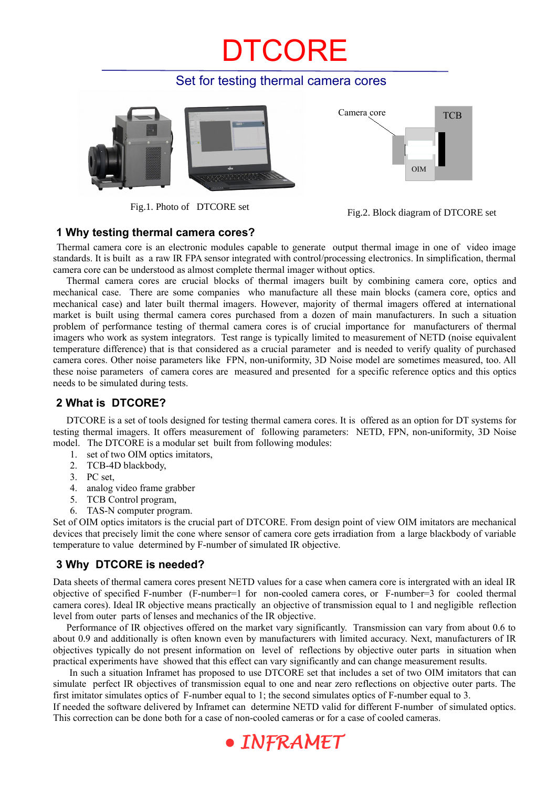## CORE

#### Set for testing thermal camera cores





Fig.1. Photo of DTCORE set Fig.2. Block diagram of DTCORE set

#### **1 Why testing thermal camera cores?**

 Thermal camera core is an electronic modules capable to generate output thermal image in one of video image standards. It is built as a raw IR FPA sensor integrated with control/processing electronics. In simplification, thermal camera core can be understood as almost complete thermal imager without optics.

Thermal camera cores are crucial blocks of thermal imagers built by combining camera core, optics and mechanical case. There are some companies who manufacture all these main blocks (camera core, optics and mechanical case) and later built thermal imagers. However, majority of thermal imagers offered at international market is built using thermal camera cores purchased from a dozen of main manufacturers. In such a situation problem of performance testing of thermal camera cores is of crucial importance for manufacturers of thermal imagers who work as system integrators. Test range is typically limited to measurement of NETD (noise equivalent temperature difference) that is that considered as a crucial parameter and is needed to verify quality of purchased camera cores. Other noise parameters like FPN, non-uniformity, 3D Noise model are sometimes measured, too. All these noise parameters of camera cores are measured and presented for a specific reference optics and this optics needs to be simulated during tests.

#### **2 What is DTCORE?**

DTCORE is a set of tools designed for testing thermal camera cores. It is offered as an option for DT systems for testing thermal imagers. It offers measurement of following parameters: NETD, FPN, non-uniformity, 3D Noise model. The DTCORE is a modular set built from following modules:

- 1. set of two OIM optics imitators,
- 2. TCB-4D blackbody,
- 3. PC set,
- 4. analog video frame grabber
- 5. TCB Control program,
- 6. TAS-N computer program.

Set of OIM optics imitators is the crucial part of DTCORE. From design point of view OIM imitators are mechanical devices that precisely limit the cone where sensor of camera core gets irradiation from a large blackbody of variable temperature to value determined by F-number of simulated IR objective.

#### **3 Why DTCORE is needed?**

Data sheets of thermal camera cores present NETD values for a case when camera core is intergrated with an ideal IR objective of specified F-number (F-number=1 for non-cooled camera cores, or F-number=3 for cooled thermal camera cores). Ideal IR objective means practically an objective of transmission equal to 1 and negligible reflection level from outer parts of lenses and mechanics of the IR objective.

Performance of IR objectives offered on the market vary significantly. Transmission can vary from about 0.6 to about 0.9 and additionally is often known even by manufacturers with limited accuracy. Next, manufacturers of IR objectives typically do not present information on level of reflections by objective outer parts in situation when practical experiments have showed that this effect can vary significantly and can change measurement results.

 In such a situation Inframet has proposed to use DTCORE set that includes a set of two OIM imitators that can simulate perfect IR objectives of transmission equal to one and near zero reflections on objective outer parts. The first imitator simulates optics of F-number equal to 1; the second simulates optics of F-number equal to 3.

If needed the software delivered by Inframet can determine NETD valid for different F-number of simulated optics. This correction can be done both for a case of non-cooled cameras or for a case of cooled cameras.